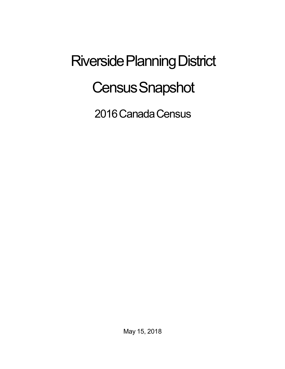## Riverside Planning District **Census Snapshot**

2016 Canada Census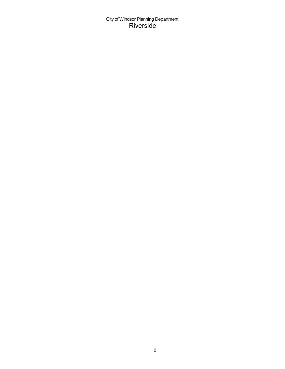City of Windsor Planning Department Riverside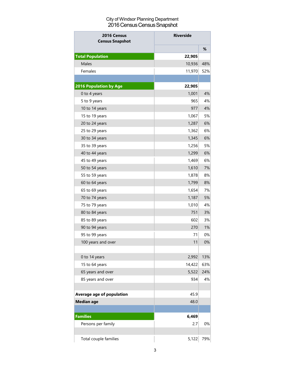## City of Windsor Planning Department 2016 Census Census Snapshot

| <b>Riverside</b><br>2016 Census<br><b>Census Snapshot</b> |        |     |  |
|-----------------------------------------------------------|--------|-----|--|
|                                                           |        | %   |  |
| <b>Total Population</b>                                   | 22,905 |     |  |
| <b>Males</b>                                              | 10,936 | 48% |  |
| Females                                                   | 11,970 | 52% |  |
|                                                           |        |     |  |
| <b>2016 Population by Age</b>                             | 22,905 |     |  |
| 0 to 4 years                                              | 1,001  | 4%  |  |
| 5 to 9 years                                              | 965    | 4%  |  |
| 10 to 14 years                                            | 977    | 4%  |  |
| 15 to 19 years                                            | 1,067  | 5%  |  |
| 20 to 24 years                                            | 1,287  | 6%  |  |
| 25 to 29 years                                            | 1,362  | 6%  |  |
| 30 to 34 years                                            | 1,345  | 6%  |  |
| 35 to 39 years                                            | 1,256  | 5%  |  |
| 40 to 44 years                                            | 1,299  | 6%  |  |
| 45 to 49 years                                            | 1,469  | 6%  |  |
| 50 to 54 years                                            | 1,610  | 7%  |  |
| 55 to 59 years                                            | 1,878  | 8%  |  |
| 60 to 64 years                                            | 1,799  | 8%  |  |
| 65 to 69 years                                            | 1,654  | 7%  |  |
| 70 to 74 years                                            | 1,187  | 5%  |  |
| 75 to 79 years                                            | 1,010  | 4%  |  |
| 80 to 84 years                                            | 751    | 3%  |  |
| 85 to 89 years                                            | 602    | 3%  |  |
| 90 to 94 years                                            | 270    | 1%  |  |
| 95 to 99 years                                            | 71     | 0%  |  |
| 100 years and over                                        | 11     | 0%  |  |
|                                                           |        |     |  |
| 0 to 14 years                                             | 2,992  | 13% |  |
| 15 to 64 years                                            | 14,422 | 63% |  |
| 65 years and over                                         | 5,522  | 24% |  |
| 85 years and over                                         | 934    | 4%  |  |
|                                                           |        |     |  |
| Average age of population                                 | 45.9   |     |  |
| <b>Median age</b>                                         | 48.0   |     |  |
|                                                           |        |     |  |
| <b>Families</b>                                           | 6,469  |     |  |
| Persons per family                                        | 2.7    | 0%  |  |
|                                                           |        |     |  |
| Total couple families                                     | 5,122  | 79% |  |